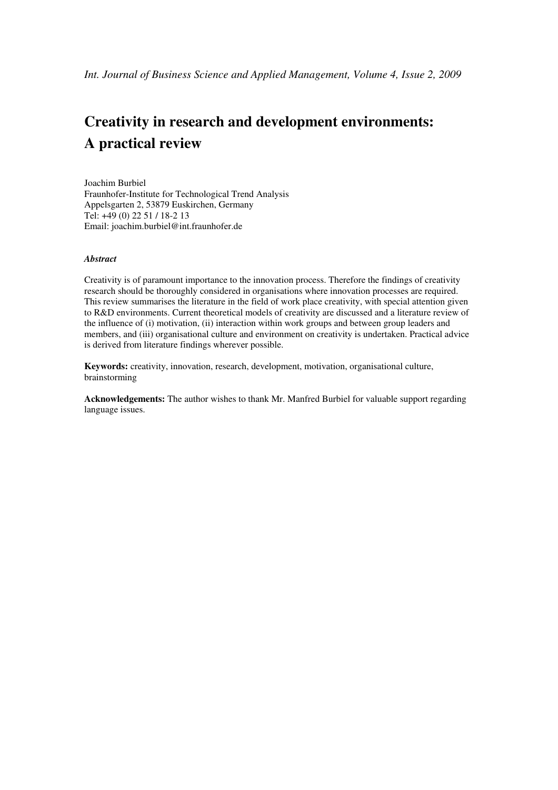# **Creativity in research and development environments: A practical review**

Joachim Burbiel Fraunhofer-Institute for Technological Trend Analysis Appelsgarten 2, 53879 Euskirchen, Germany Tel: +49 (0) 22 51 / 18-2 13 Email: joachim.burbiel@int.fraunhofer.de

## *Abstract*

Creativity is of paramount importance to the innovation process. Therefore the findings of creativity research should be thoroughly considered in organisations where innovation processes are required. This review summarises the literature in the field of work place creativity, with special attention given to R&D environments. Current theoretical models of creativity are discussed and a literature review of the influence of (i) motivation, (ii) interaction within work groups and between group leaders and members, and (iii) organisational culture and environment on creativity is undertaken. Practical advice is derived from literature findings wherever possible.

**Keywords:** creativity, innovation, research, development, motivation, organisational culture, brainstorming

**Acknowledgements:** The author wishes to thank Mr. Manfred Burbiel for valuable support regarding language issues.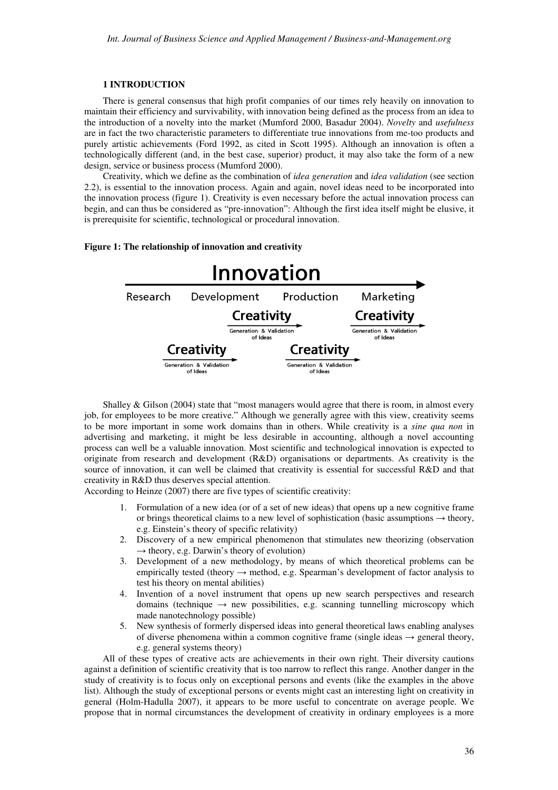## **1 INTRODUCTION**

There is general consensus that high profit companies of our times rely heavily on innovation to maintain their efficiency and survivability, with innovation being defined as the process from an idea to the introduction of a novelty into the market (Mumford 2000, Basadur 2004). *Novelty* and *usefulness* are in fact the two characteristic parameters to differentiate true innovations from me-too products and purely artistic achievements (Ford 1992, as cited in Scott 1995). Although an innovation is often a technologically different (and, in the best case, superior) product, it may also take the form of a new design, service or business process (Mumford 2000).

Creativity, which we define as the combination of *idea generation* and *idea validation* (see section 2.2), is essential to the innovation process. Again and again, novel ideas need to be incorporated into the innovation process (figure 1). Creativity is even necessary before the actual innovation process can begin, and can thus be considered as "pre-innovation": Although the first idea itself might be elusive, it is prerequisite for scientific, technological or procedural innovation.

## **Figure 1: The relationship of innovation and creativity**



Shalley & Gilson (2004) state that "most managers would agree that there is room, in almost every job, for employees to be more creative." Although we generally agree with this view, creativity seems to be more important in some work domains than in others. While creativity is a *sine qua non* in advertising and marketing, it might be less desirable in accounting, although a novel accounting process can well be a valuable innovation. Most scientific and technological innovation is expected to originate from research and development (R&D) organisations or departments. As creativity is the source of innovation, it can well be claimed that creativity is essential for successful R&D and that creativity in R&D thus deserves special attention.

According to Heinze (2007) there are five types of scientific creativity:

- 1. Formulation of a new idea (or of a set of new ideas) that opens up a new cognitive frame or brings theoretical claims to a new level of sophistication (basic assumptions  $\rightarrow$  theory, e.g. Einstein's theory of specific relativity)
- 2. Discovery of a new empirical phenomenon that stimulates new theorizing (observation  $\rightarrow$  theory, e.g. Darwin's theory of evolution)
- 3. Development of a new methodology, by means of which theoretical problems can be empirically tested (theory  $\rightarrow$  method, e.g. Spearman's development of factor analysis to test his theory on mental abilities)
- 4. Invention of a novel instrument that opens up new search perspectives and research domains (technique  $\rightarrow$  new possibilities, e.g. scanning tunnelling microscopy which made nanotechnology possible)
- 5. New synthesis of formerly dispersed ideas into general theoretical laws enabling analyses of diverse phenomena within a common cognitive frame (single ideas  $\rightarrow$  general theory, e.g. general systems theory)

All of these types of creative acts are achievements in their own right. Their diversity cautions against a definition of scientific creativity that is too narrow to reflect this range. Another danger in the study of creativity is to focus only on exceptional persons and events (like the examples in the above list). Although the study of exceptional persons or events might cast an interesting light on creativity in general (Holm-Hadulla 2007), it appears to be more useful to concentrate on average people. We propose that in normal circumstances the development of creativity in ordinary employees is a more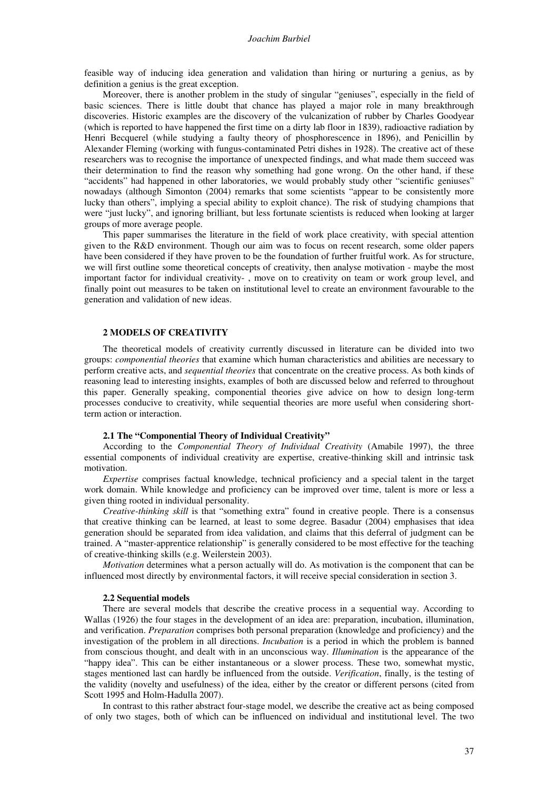feasible way of inducing idea generation and validation than hiring or nurturing a genius, as by definition a genius is the great exception.

Moreover, there is another problem in the study of singular "geniuses", especially in the field of basic sciences. There is little doubt that chance has played a major role in many breakthrough discoveries. Historic examples are the discovery of the vulcanization of rubber by Charles Goodyear (which is reported to have happened the first time on a dirty lab floor in 1839), radioactive radiation by Henri Becquerel (while studying a faulty theory of phosphorescence in 1896), and Penicillin by Alexander Fleming (working with fungus-contaminated Petri dishes in 1928). The creative act of these researchers was to recognise the importance of unexpected findings, and what made them succeed was their determination to find the reason why something had gone wrong. On the other hand, if these "accidents" had happened in other laboratories, we would probably study other "scientific geniuses" nowadays (although Simonton (2004) remarks that some scientists "appear to be consistently more lucky than others", implying a special ability to exploit chance). The risk of studying champions that were "just lucky", and ignoring brilliant, but less fortunate scientists is reduced when looking at larger groups of more average people.

This paper summarises the literature in the field of work place creativity, with special attention given to the R&D environment. Though our aim was to focus on recent research, some older papers have been considered if they have proven to be the foundation of further fruitful work. As for structure, we will first outline some theoretical concepts of creativity, then analyse motivation - maybe the most important factor for individual creativity- , move on to creativity on team or work group level, and finally point out measures to be taken on institutional level to create an environment favourable to the generation and validation of new ideas.

## **2 MODELS OF CREATIVITY**

The theoretical models of creativity currently discussed in literature can be divided into two groups: *componential theories* that examine which human characteristics and abilities are necessary to perform creative acts, and *sequential theories* that concentrate on the creative process. As both kinds of reasoning lead to interesting insights, examples of both are discussed below and referred to throughout this paper. Generally speaking, componential theories give advice on how to design long-term processes conducive to creativity, while sequential theories are more useful when considering shortterm action or interaction.

## **2.1 The "Componential Theory of Individual Creativity"**

According to the *Componential Theory of Individual Creativity* (Amabile 1997), the three essential components of individual creativity are expertise, creative-thinking skill and intrinsic task motivation.

*Expertise* comprises factual knowledge, technical proficiency and a special talent in the target work domain. While knowledge and proficiency can be improved over time, talent is more or less a given thing rooted in individual personality.

*Creative-thinking skill* is that "something extra" found in creative people. There is a consensus that creative thinking can be learned, at least to some degree. Basadur (2004) emphasises that idea generation should be separated from idea validation, and claims that this deferral of judgment can be trained. A "master-apprentice relationship" is generally considered to be most effective for the teaching of creative-thinking skills (e.g. Weilerstein 2003).

*Motivation* determines what a person actually will do. As motivation is the component that can be influenced most directly by environmental factors, it will receive special consideration in section 3.

#### **2.2 Sequential models**

There are several models that describe the creative process in a sequential way. According to Wallas (1926) the four stages in the development of an idea are: preparation, incubation, illumination, and verification. *Preparation* comprises both personal preparation (knowledge and proficiency) and the investigation of the problem in all directions. *Incubation* is a period in which the problem is banned from conscious thought, and dealt with in an unconscious way. *Illumination* is the appearance of the "happy idea". This can be either instantaneous or a slower process. These two, somewhat mystic, stages mentioned last can hardly be influenced from the outside. *Verification*, finally, is the testing of the validity (novelty and usefulness) of the idea, either by the creator or different persons (cited from Scott 1995 and Holm-Hadulla 2007).

In contrast to this rather abstract four-stage model, we describe the creative act as being composed of only two stages, both of which can be influenced on individual and institutional level. The two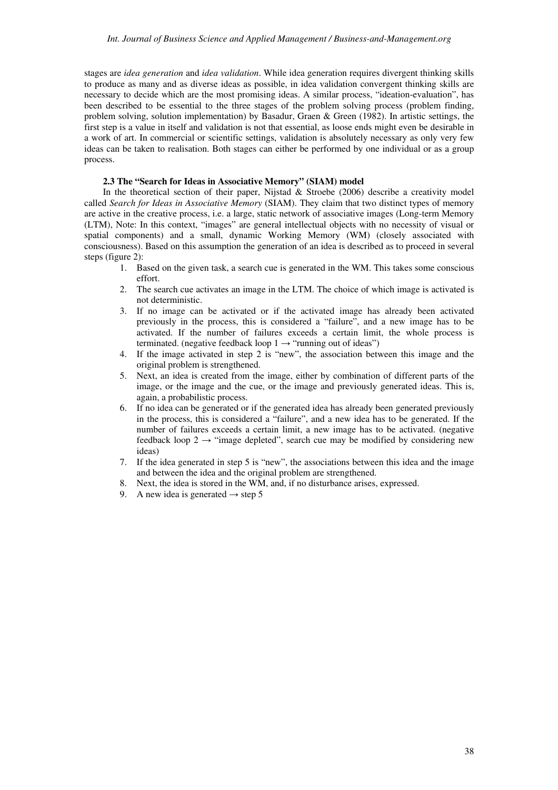stages are *idea generation* and *idea validation*. While idea generation requires divergent thinking skills to produce as many and as diverse ideas as possible, in idea validation convergent thinking skills are necessary to decide which are the most promising ideas. A similar process, "ideation-evaluation", has been described to be essential to the three stages of the problem solving process (problem finding, problem solving, solution implementation) by Basadur, Graen & Green (1982). In artistic settings, the first step is a value in itself and validation is not that essential, as loose ends might even be desirable in a work of art. In commercial or scientific settings, validation is absolutely necessary as only very few ideas can be taken to realisation. Both stages can either be performed by one individual or as a group process.

# **2.3 The "Search for Ideas in Associative Memory" (SIAM) model**

In the theoretical section of their paper, Nijstad & Stroebe  $(2006)$  describe a creativity model called *Search for Ideas in Associative Memory* (SIAM). They claim that two distinct types of memory are active in the creative process, i.e. a large, static network of associative images (Long-term Memory (LTM), Note: In this context, "images" are general intellectual objects with no necessity of visual or spatial components) and a small, dynamic Working Memory (WM) (closely associated with consciousness). Based on this assumption the generation of an idea is described as to proceed in several steps (figure 2):

- 1. Based on the given task, a search cue is generated in the WM. This takes some conscious effort.
- 2. The search cue activates an image in the LTM. The choice of which image is activated is not deterministic.
- 3. If no image can be activated or if the activated image has already been activated previously in the process, this is considered a "failure", and a new image has to be activated. If the number of failures exceeds a certain limit, the whole process is terminated. (negative feedback loop  $1 \rightarrow$  "running out of ideas")
- 4. If the image activated in step 2 is "new", the association between this image and the original problem is strengthened.
- 5. Next, an idea is created from the image, either by combination of different parts of the image, or the image and the cue, or the image and previously generated ideas. This is, again, a probabilistic process.
- 6. If no idea can be generated or if the generated idea has already been generated previously in the process, this is considered a "failure", and a new idea has to be generated. If the number of failures exceeds a certain limit, a new image has to be activated. (negative feedback loop 2  $\rightarrow$  "image depleted", search cue may be modified by considering new ideas)
- 7. If the idea generated in step 5 is "new", the associations between this idea and the image and between the idea and the original problem are strengthened.
- 8. Next, the idea is stored in the WM, and, if no disturbance arises, expressed.
- 9. A new idea is generated  $\rightarrow$  step 5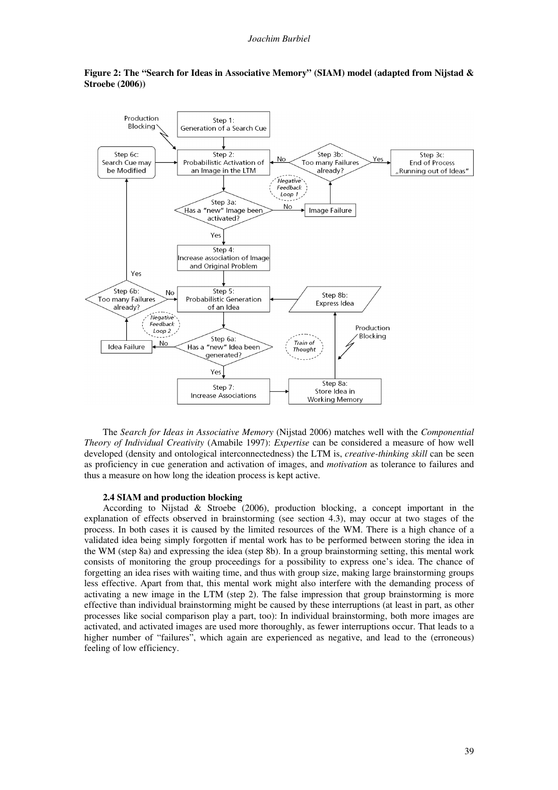

# **Figure 2: The "Search for Ideas in Associative Memory" (SIAM) model (adapted from Nijstad & Stroebe (2006))**

The *Search for Ideas in Associative Memory* (Nijstad 2006) matches well with the *Componential Theory of Individual Creativity* (Amabile 1997): *Expertise* can be considered a measure of how well developed (density and ontological interconnectedness) the LTM is, *creative-thinking skill* can be seen as proficiency in cue generation and activation of images, and *motivation* as tolerance to failures and thus a measure on how long the ideation process is kept active.

## **2.4 SIAM and production blocking**

According to Nijstad & Stroebe (2006), production blocking, a concept important in the explanation of effects observed in brainstorming (see section 4.3), may occur at two stages of the process. In both cases it is caused by the limited resources of the WM. There is a high chance of a validated idea being simply forgotten if mental work has to be performed between storing the idea in the WM (step 8a) and expressing the idea (step 8b). In a group brainstorming setting, this mental work consists of monitoring the group proceedings for a possibility to express one's idea. The chance of forgetting an idea rises with waiting time, and thus with group size, making large brainstorming groups less effective. Apart from that, this mental work might also interfere with the demanding process of activating a new image in the LTM (step 2). The false impression that group brainstorming is more effective than individual brainstorming might be caused by these interruptions (at least in part, as other processes like social comparison play a part, too): In individual brainstorming, both more images are activated, and activated images are used more thoroughly, as fewer interruptions occur. That leads to a higher number of "failures", which again are experienced as negative, and lead to the (erroneous) feeling of low efficiency.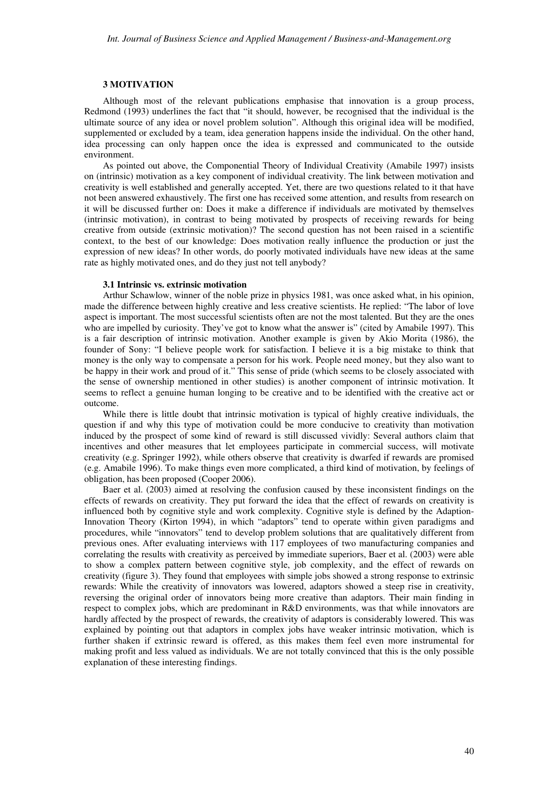## **3 MOTIVATION**

Although most of the relevant publications emphasise that innovation is a group process, Redmond (1993) underlines the fact that "it should, however, be recognised that the individual is the ultimate source of any idea or novel problem solution". Although this original idea will be modified, supplemented or excluded by a team, idea generation happens inside the individual. On the other hand, idea processing can only happen once the idea is expressed and communicated to the outside environment.

As pointed out above, the Componential Theory of Individual Creativity (Amabile 1997) insists on (intrinsic) motivation as a key component of individual creativity. The link between motivation and creativity is well established and generally accepted. Yet, there are two questions related to it that have not been answered exhaustively. The first one has received some attention, and results from research on it will be discussed further on: Does it make a difference if individuals are motivated by themselves (intrinsic motivation), in contrast to being motivated by prospects of receiving rewards for being creative from outside (extrinsic motivation)? The second question has not been raised in a scientific context, to the best of our knowledge: Does motivation really influence the production or just the expression of new ideas? In other words, do poorly motivated individuals have new ideas at the same rate as highly motivated ones, and do they just not tell anybody?

## **3.1 Intrinsic vs. extrinsic motivation**

Arthur Schawlow, winner of the noble prize in physics 1981, was once asked what, in his opinion, made the difference between highly creative and less creative scientists. He replied: "The labor of love aspect is important. The most successful scientists often are not the most talented. But they are the ones who are impelled by curiosity. They've got to know what the answer is" (cited by Amabile 1997). This is a fair description of intrinsic motivation. Another example is given by Akio Morita (1986), the founder of Sony: "I believe people work for satisfaction. I believe it is a big mistake to think that money is the only way to compensate a person for his work. People need money, but they also want to be happy in their work and proud of it." This sense of pride (which seems to be closely associated with the sense of ownership mentioned in other studies) is another component of intrinsic motivation. It seems to reflect a genuine human longing to be creative and to be identified with the creative act or outcome.

While there is little doubt that intrinsic motivation is typical of highly creative individuals, the question if and why this type of motivation could be more conducive to creativity than motivation induced by the prospect of some kind of reward is still discussed vividly: Several authors claim that incentives and other measures that let employees participate in commercial success, will motivate creativity (e.g. Springer 1992), while others observe that creativity is dwarfed if rewards are promised (e.g. Amabile 1996). To make things even more complicated, a third kind of motivation, by feelings of obligation, has been proposed (Cooper 2006).

Baer et al. (2003) aimed at resolving the confusion caused by these inconsistent findings on the effects of rewards on creativity. They put forward the idea that the effect of rewards on creativity is influenced both by cognitive style and work complexity. Cognitive style is defined by the Adaption-Innovation Theory (Kirton 1994), in which "adaptors" tend to operate within given paradigms and procedures, while "innovators" tend to develop problem solutions that are qualitatively different from previous ones. After evaluating interviews with 117 employees of two manufacturing companies and correlating the results with creativity as perceived by immediate superiors, Baer et al. (2003) were able to show a complex pattern between cognitive style, job complexity, and the effect of rewards on creativity (figure 3). They found that employees with simple jobs showed a strong response to extrinsic rewards: While the creativity of innovators was lowered, adaptors showed a steep rise in creativity, reversing the original order of innovators being more creative than adaptors. Their main finding in respect to complex jobs, which are predominant in R&D environments, was that while innovators are hardly affected by the prospect of rewards, the creativity of adaptors is considerably lowered. This was explained by pointing out that adaptors in complex jobs have weaker intrinsic motivation, which is further shaken if extrinsic reward is offered, as this makes them feel even more instrumental for making profit and less valued as individuals. We are not totally convinced that this is the only possible explanation of these interesting findings.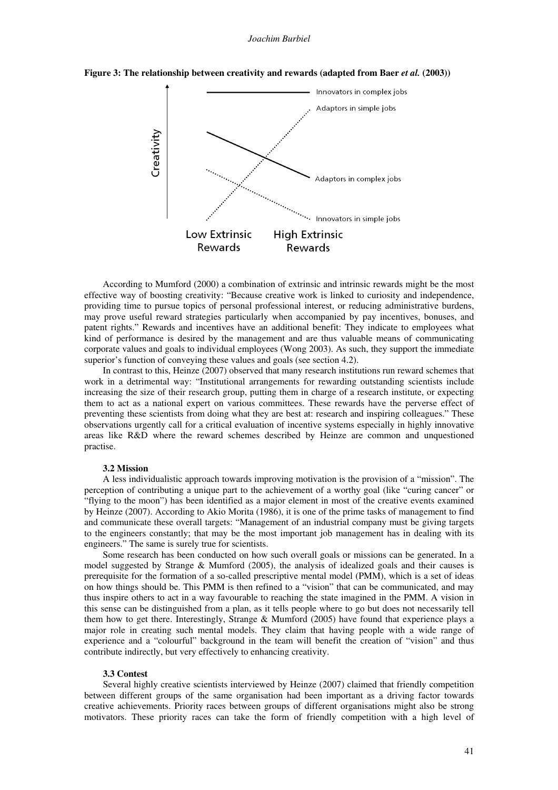



According to Mumford (2000) a combination of extrinsic and intrinsic rewards might be the most effective way of boosting creativity: "Because creative work is linked to curiosity and independence, providing time to pursue topics of personal professional interest, or reducing administrative burdens, may prove useful reward strategies particularly when accompanied by pay incentives, bonuses, and patent rights." Rewards and incentives have an additional benefit: They indicate to employees what kind of performance is desired by the management and are thus valuable means of communicating corporate values and goals to individual employees (Wong 2003). As such, they support the immediate superior's function of conveying these values and goals (see section 4.2).

In contrast to this, Heinze (2007) observed that many research institutions run reward schemes that work in a detrimental way: "Institutional arrangements for rewarding outstanding scientists include increasing the size of their research group, putting them in charge of a research institute, or expecting them to act as a national expert on various committees. These rewards have the perverse effect of preventing these scientists from doing what they are best at: research and inspiring colleagues." These observations urgently call for a critical evaluation of incentive systems especially in highly innovative areas like R&D where the reward schemes described by Heinze are common and unquestioned practise.

## **3.2 Mission**

A less individualistic approach towards improving motivation is the provision of a "mission". The perception of contributing a unique part to the achievement of a worthy goal (like "curing cancer" or "flying to the moon") has been identified as a major element in most of the creative events examined by Heinze (2007). According to Akio Morita (1986), it is one of the prime tasks of management to find and communicate these overall targets: "Management of an industrial company must be giving targets to the engineers constantly; that may be the most important job management has in dealing with its engineers." The same is surely true for scientists.

Some research has been conducted on how such overall goals or missions can be generated. In a model suggested by Strange & Mumford (2005), the analysis of idealized goals and their causes is prerequisite for the formation of a so-called prescriptive mental model (PMM), which is a set of ideas on how things should be. This PMM is then refined to a "vision" that can be communicated, and may thus inspire others to act in a way favourable to reaching the state imagined in the PMM. A vision in this sense can be distinguished from a plan, as it tells people where to go but does not necessarily tell them how to get there. Interestingly, Strange & Mumford (2005) have found that experience plays a major role in creating such mental models. They claim that having people with a wide range of experience and a "colourful" background in the team will benefit the creation of "vision" and thus contribute indirectly, but very effectively to enhancing creativity.

## **3.3 Contest**

Several highly creative scientists interviewed by Heinze (2007) claimed that friendly competition between different groups of the same organisation had been important as a driving factor towards creative achievements. Priority races between groups of different organisations might also be strong motivators. These priority races can take the form of friendly competition with a high level of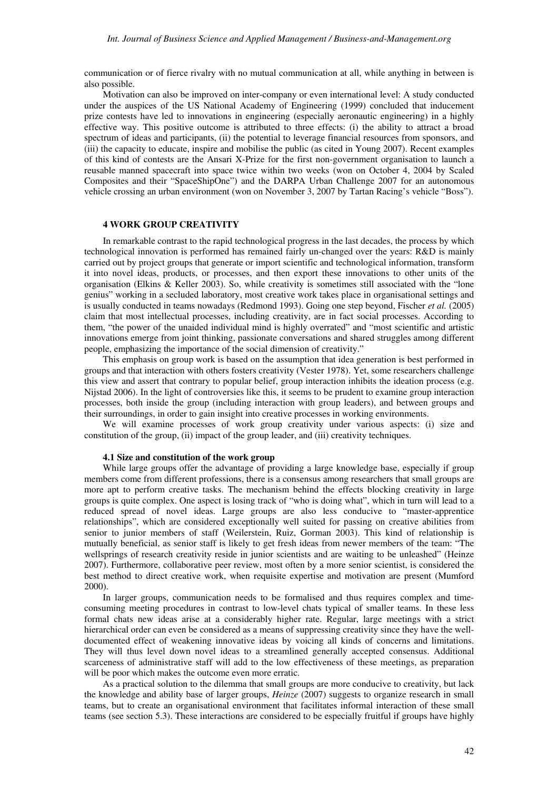communication or of fierce rivalry with no mutual communication at all, while anything in between is also possible.

Motivation can also be improved on inter-company or even international level: A study conducted under the auspices of the US National Academy of Engineering (1999) concluded that inducement prize contests have led to innovations in engineering (especially aeronautic engineering) in a highly effective way. This positive outcome is attributed to three effects: (i) the ability to attract a broad spectrum of ideas and participants, (ii) the potential to leverage financial resources from sponsors, and (iii) the capacity to educate, inspire and mobilise the public (as cited in Young 2007). Recent examples of this kind of contests are the Ansari X-Prize for the first non-government organisation to launch a reusable manned spacecraft into space twice within two weeks (won on October 4, 2004 by Scaled Composites and their "SpaceShipOne") and the DARPA Urban Challenge 2007 for an autonomous vehicle crossing an urban environment (won on November 3, 2007 by Tartan Racing's vehicle "Boss").

# **4 WORK GROUP CREATIVITY**

In remarkable contrast to the rapid technological progress in the last decades, the process by which technological innovation is performed has remained fairly un-changed over the years: R&D is mainly carried out by project groups that generate or import scientific and technological information, transform it into novel ideas, products, or processes, and then export these innovations to other units of the organisation (Elkins & Keller 2003). So, while creativity is sometimes still associated with the "lone genius" working in a secluded laboratory, most creative work takes place in organisational settings and is usually conducted in teams nowadays (Redmond 1993). Going one step beyond, Fischer *et al.* (2005) claim that most intellectual processes, including creativity, are in fact social processes. According to them, "the power of the unaided individual mind is highly overrated" and "most scientific and artistic innovations emerge from joint thinking, passionate conversations and shared struggles among different people, emphasizing the importance of the social dimension of creativity."

This emphasis on group work is based on the assumption that idea generation is best performed in groups and that interaction with others fosters creativity (Vester 1978). Yet, some researchers challenge this view and assert that contrary to popular belief, group interaction inhibits the ideation process (e.g. Nijstad 2006). In the light of controversies like this, it seems to be prudent to examine group interaction processes, both inside the group (including interaction with group leaders), and between groups and their surroundings, in order to gain insight into creative processes in working environments.

We will examine processes of work group creativity under various aspects: (i) size and constitution of the group, (ii) impact of the group leader, and (iii) creativity techniques.

## **4.1 Size and constitution of the work group**

While large groups offer the advantage of providing a large knowledge base, especially if group members come from different professions, there is a consensus among researchers that small groups are more apt to perform creative tasks. The mechanism behind the effects blocking creativity in large groups is quite complex. One aspect is losing track of "who is doing what", which in turn will lead to a reduced spread of novel ideas. Large groups are also less conducive to "master-apprentice relationships", which are considered exceptionally well suited for passing on creative abilities from senior to junior members of staff (Weilerstein, Ruiz, Gorman 2003). This kind of relationship is mutually beneficial, as senior staff is likely to get fresh ideas from newer members of the team: "The wellsprings of research creativity reside in junior scientists and are waiting to be unleashed" (Heinze 2007). Furthermore, collaborative peer review, most often by a more senior scientist, is considered the best method to direct creative work, when requisite expertise and motivation are present (Mumford 2000).

In larger groups, communication needs to be formalised and thus requires complex and timeconsuming meeting procedures in contrast to low-level chats typical of smaller teams. In these less formal chats new ideas arise at a considerably higher rate. Regular, large meetings with a strict hierarchical order can even be considered as a means of suppressing creativity since they have the welldocumented effect of weakening innovative ideas by voicing all kinds of concerns and limitations. They will thus level down novel ideas to a streamlined generally accepted consensus. Additional scarceness of administrative staff will add to the low effectiveness of these meetings, as preparation will be poor which makes the outcome even more erratic.

As a practical solution to the dilemma that small groups are more conducive to creativity, but lack the knowledge and ability base of larger groups, *Heinze* (2007) suggests to organize research in small teams, but to create an organisational environment that facilitates informal interaction of these small teams (see section 5.3). These interactions are considered to be especially fruitful if groups have highly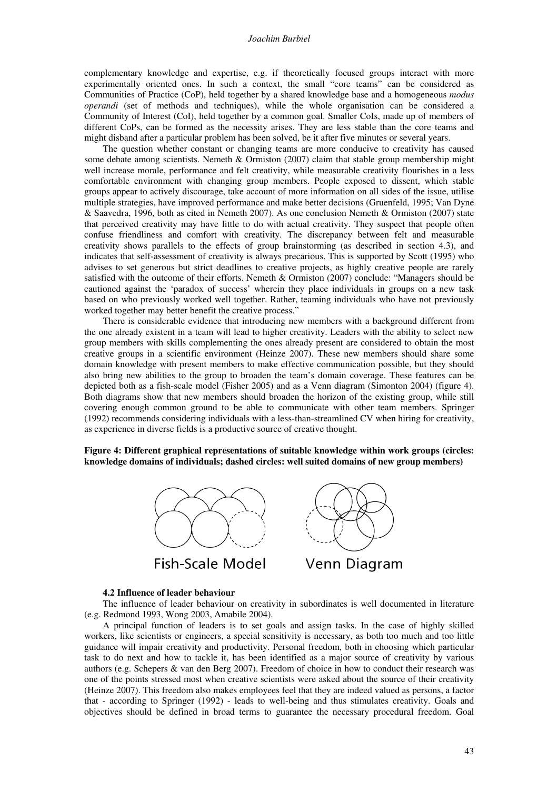#### *Joachim Burbiel*

complementary knowledge and expertise, e.g. if theoretically focused groups interact with more experimentally oriented ones. In such a context, the small "core teams" can be considered as Communities of Practice (CoP), held together by a shared knowledge base and a homogeneous *modus operandi* (set of methods and techniques), while the whole organisation can be considered a Community of Interest (CoI), held together by a common goal. Smaller CoIs, made up of members of different CoPs, can be formed as the necessity arises. They are less stable than the core teams and might disband after a particular problem has been solved, be it after five minutes or several years.

The question whether constant or changing teams are more conducive to creativity has caused some debate among scientists. Nemeth & Ormiston (2007) claim that stable group membership might well increase morale, performance and felt creativity, while measurable creativity flourishes in a less comfortable environment with changing group members. People exposed to dissent, which stable groups appear to actively discourage, take account of more information on all sides of the issue, utilise multiple strategies, have improved performance and make better decisions (Gruenfeld, 1995; Van Dyne & Saavedra, 1996, both as cited in Nemeth 2007). As one conclusion Nemeth & Ormiston (2007) state that perceived creativity may have little to do with actual creativity. They suspect that people often confuse friendliness and comfort with creativity. The discrepancy between felt and measurable creativity shows parallels to the effects of group brainstorming (as described in section 4.3), and indicates that self-assessment of creativity is always precarious. This is supported by Scott (1995) who advises to set generous but strict deadlines to creative projects, as highly creative people are rarely satisfied with the outcome of their efforts. Nemeth & Ormiston (2007) conclude: "Managers should be cautioned against the 'paradox of success' wherein they place individuals in groups on a new task based on who previously worked well together. Rather, teaming individuals who have not previously worked together may better benefit the creative process."

There is considerable evidence that introducing new members with a background different from the one already existent in a team will lead to higher creativity. Leaders with the ability to select new group members with skills complementing the ones already present are considered to obtain the most creative groups in a scientific environment (Heinze 2007). These new members should share some domain knowledge with present members to make effective communication possible, but they should also bring new abilities to the group to broaden the team's domain coverage. These features can be depicted both as a fish-scale model (Fisher 2005) and as a Venn diagram (Simonton 2004) (figure 4). Both diagrams show that new members should broaden the horizon of the existing group, while still covering enough common ground to be able to communicate with other team members. Springer (1992) recommends considering individuals with a less-than-streamlined CV when hiring for creativity, as experience in diverse fields is a productive source of creative thought.

**Figure 4: Different graphical representations of suitable knowledge within work groups (circles: knowledge domains of individuals; dashed circles: well suited domains of new group members)** 



#### **4.2 Influence of leader behaviour**

The influence of leader behaviour on creativity in subordinates is well documented in literature (e.g. Redmond 1993, Wong 2003, Amabile 2004).

A principal function of leaders is to set goals and assign tasks. In the case of highly skilled workers, like scientists or engineers, a special sensitivity is necessary, as both too much and too little guidance will impair creativity and productivity. Personal freedom, both in choosing which particular task to do next and how to tackle it, has been identified as a major source of creativity by various authors (e.g. Schepers & van den Berg 2007). Freedom of choice in how to conduct their research was one of the points stressed most when creative scientists were asked about the source of their creativity (Heinze 2007). This freedom also makes employees feel that they are indeed valued as persons, a factor that - according to Springer (1992) - leads to well-being and thus stimulates creativity. Goals and objectives should be defined in broad terms to guarantee the necessary procedural freedom. Goal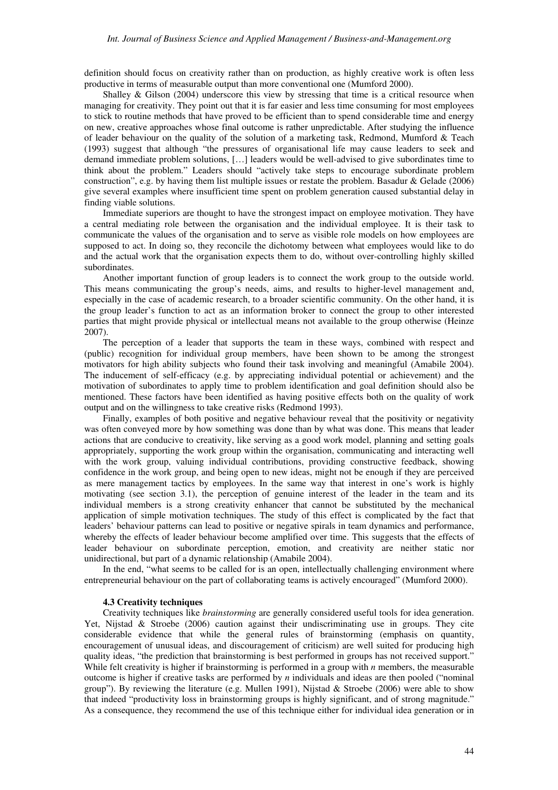definition should focus on creativity rather than on production, as highly creative work is often less productive in terms of measurable output than more conventional one (Mumford 2000).

Shalley & Gilson (2004) underscore this view by stressing that time is a critical resource when managing for creativity. They point out that it is far easier and less time consuming for most employees to stick to routine methods that have proved to be efficient than to spend considerable time and energy on new, creative approaches whose final outcome is rather unpredictable. After studying the influence of leader behaviour on the quality of the solution of a marketing task, Redmond, Mumford & Teach (1993) suggest that although "the pressures of organisational life may cause leaders to seek and demand immediate problem solutions, […] leaders would be well-advised to give subordinates time to think about the problem." Leaders should "actively take steps to encourage subordinate problem construction", e.g. by having them list multiple issues or restate the problem. Basadur & Gelade (2006) give several examples where insufficient time spent on problem generation caused substantial delay in finding viable solutions.

Immediate superiors are thought to have the strongest impact on employee motivation. They have a central mediating role between the organisation and the individual employee. It is their task to communicate the values of the organisation and to serve as visible role models on how employees are supposed to act. In doing so, they reconcile the dichotomy between what employees would like to do and the actual work that the organisation expects them to do, without over-controlling highly skilled subordinates.

Another important function of group leaders is to connect the work group to the outside world. This means communicating the group's needs, aims, and results to higher-level management and, especially in the case of academic research, to a broader scientific community. On the other hand, it is the group leader's function to act as an information broker to connect the group to other interested parties that might provide physical or intellectual means not available to the group otherwise (Heinze 2007).

The perception of a leader that supports the team in these ways, combined with respect and (public) recognition for individual group members, have been shown to be among the strongest motivators for high ability subjects who found their task involving and meaningful (Amabile 2004). The inducement of self-efficacy (e.g. by appreciating individual potential or achievement) and the motivation of subordinates to apply time to problem identification and goal definition should also be mentioned. These factors have been identified as having positive effects both on the quality of work output and on the willingness to take creative risks (Redmond 1993).

Finally, examples of both positive and negative behaviour reveal that the positivity or negativity was often conveyed more by how something was done than by what was done. This means that leader actions that are conducive to creativity, like serving as a good work model, planning and setting goals appropriately, supporting the work group within the organisation, communicating and interacting well with the work group, valuing individual contributions, providing constructive feedback, showing confidence in the work group, and being open to new ideas, might not be enough if they are perceived as mere management tactics by employees. In the same way that interest in one's work is highly motivating (see section 3.1), the perception of genuine interest of the leader in the team and its individual members is a strong creativity enhancer that cannot be substituted by the mechanical application of simple motivation techniques. The study of this effect is complicated by the fact that leaders' behaviour patterns can lead to positive or negative spirals in team dynamics and performance, whereby the effects of leader behaviour become amplified over time. This suggests that the effects of leader behaviour on subordinate perception, emotion, and creativity are neither static nor unidirectional, but part of a dynamic relationship (Amabile 2004).

In the end, "what seems to be called for is an open, intellectually challenging environment where entrepreneurial behaviour on the part of collaborating teams is actively encouraged" (Mumford 2000).

## **4.3 Creativity techniques**

Creativity techniques like *brainstorming* are generally considered useful tools for idea generation. Yet, Nijstad & Stroebe (2006) caution against their undiscriminating use in groups. They cite considerable evidence that while the general rules of brainstorming (emphasis on quantity, encouragement of unusual ideas, and discouragement of criticism) are well suited for producing high quality ideas, "the prediction that brainstorming is best performed in groups has not received support." While felt creativity is higher if brainstorming is performed in a group with *n* members, the measurable outcome is higher if creative tasks are performed by *n* individuals and ideas are then pooled ("nominal group"). By reviewing the literature (e.g. Mullen 1991), Nijstad & Stroebe (2006) were able to show that indeed "productivity loss in brainstorming groups is highly significant, and of strong magnitude." As a consequence, they recommend the use of this technique either for individual idea generation or in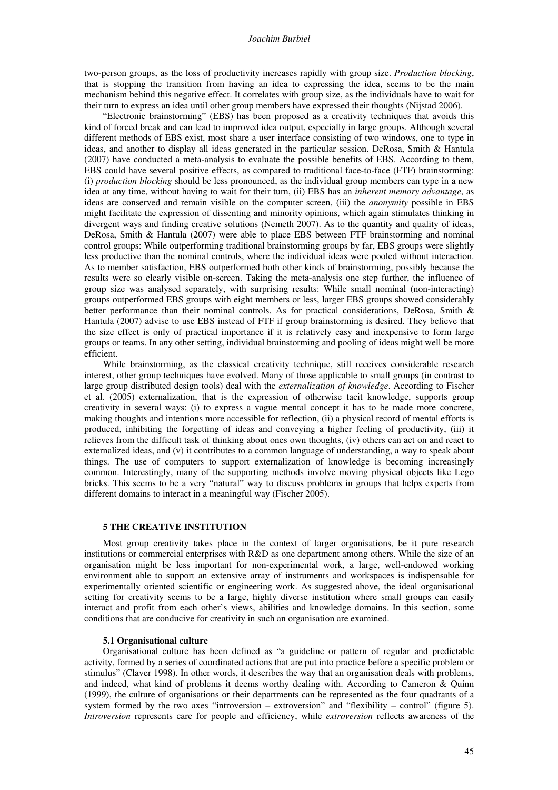#### *Joachim Burbiel*

two-person groups, as the loss of productivity increases rapidly with group size. *Production blocking*, that is stopping the transition from having an idea to expressing the idea, seems to be the main mechanism behind this negative effect. It correlates with group size, as the individuals have to wait for their turn to express an idea until other group members have expressed their thoughts (Nijstad 2006).

"Electronic brainstorming" (EBS) has been proposed as a creativity techniques that avoids this kind of forced break and can lead to improved idea output, especially in large groups. Although several different methods of EBS exist, most share a user interface consisting of two windows, one to type in ideas, and another to display all ideas generated in the particular session. DeRosa, Smith & Hantula (2007) have conducted a meta-analysis to evaluate the possible benefits of EBS. According to them, EBS could have several positive effects, as compared to traditional face-to-face (FTF) brainstorming: (i) *production blocking* should be less pronounced, as the individual group members can type in a new idea at any time, without having to wait for their turn, (ii) EBS has an *inherent memory advantage*, as ideas are conserved and remain visible on the computer screen, (iii) the *anonymity* possible in EBS might facilitate the expression of dissenting and minority opinions, which again stimulates thinking in divergent ways and finding creative solutions (Nemeth 2007). As to the quantity and quality of ideas, DeRosa, Smith & Hantula (2007) were able to place EBS between FTF brainstorming and nominal control groups: While outperforming traditional brainstorming groups by far, EBS groups were slightly less productive than the nominal controls, where the individual ideas were pooled without interaction. As to member satisfaction, EBS outperformed both other kinds of brainstorming, possibly because the results were so clearly visible on-screen. Taking the meta-analysis one step further, the influence of group size was analysed separately, with surprising results: While small nominal (non-interacting) groups outperformed EBS groups with eight members or less, larger EBS groups showed considerably better performance than their nominal controls. As for practical considerations, DeRosa, Smith & Hantula (2007) advise to use EBS instead of FTF if group brainstorming is desired. They believe that the size effect is only of practical importance if it is relatively easy and inexpensive to form large groups or teams. In any other setting, individual brainstorming and pooling of ideas might well be more efficient.

While brainstorming, as the classical creativity technique, still receives considerable research interest, other group techniques have evolved. Many of those applicable to small groups (in contrast to large group distributed design tools) deal with the *externalization of knowledge*. According to Fischer et al. (2005) externalization, that is the expression of otherwise tacit knowledge, supports group creativity in several ways: (i) to express a vague mental concept it has to be made more concrete, making thoughts and intentions more accessible for reflection, (ii) a physical record of mental efforts is produced, inhibiting the forgetting of ideas and conveying a higher feeling of productivity, (iii) it relieves from the difficult task of thinking about ones own thoughts, (iv) others can act on and react to externalized ideas, and (v) it contributes to a common language of understanding, a way to speak about things. The use of computers to support externalization of knowledge is becoming increasingly common. Interestingly, many of the supporting methods involve moving physical objects like Lego bricks. This seems to be a very "natural" way to discuss problems in groups that helps experts from different domains to interact in a meaningful way (Fischer 2005).

#### **5 THE CREATIVE INSTITUTION**

Most group creativity takes place in the context of larger organisations, be it pure research institutions or commercial enterprises with R&D as one department among others. While the size of an organisation might be less important for non-experimental work, a large, well-endowed working environment able to support an extensive array of instruments and workspaces is indispensable for experimentally oriented scientific or engineering work. As suggested above, the ideal organisational setting for creativity seems to be a large, highly diverse institution where small groups can easily interact and profit from each other's views, abilities and knowledge domains. In this section, some conditions that are conducive for creativity in such an organisation are examined.

## **5.1 Organisational culture**

Organisational culture has been defined as "a guideline or pattern of regular and predictable activity, formed by a series of coordinated actions that are put into practice before a specific problem or stimulus" (Claver 1998). In other words, it describes the way that an organisation deals with problems, and indeed, what kind of problems it deems worthy dealing with. According to Cameron & Quinn (1999), the culture of organisations or their departments can be represented as the four quadrants of a system formed by the two axes "introversion – extroversion" and "flexibility – control" (figure 5). *Introversion* represents care for people and efficiency, while *extroversion* reflects awareness of the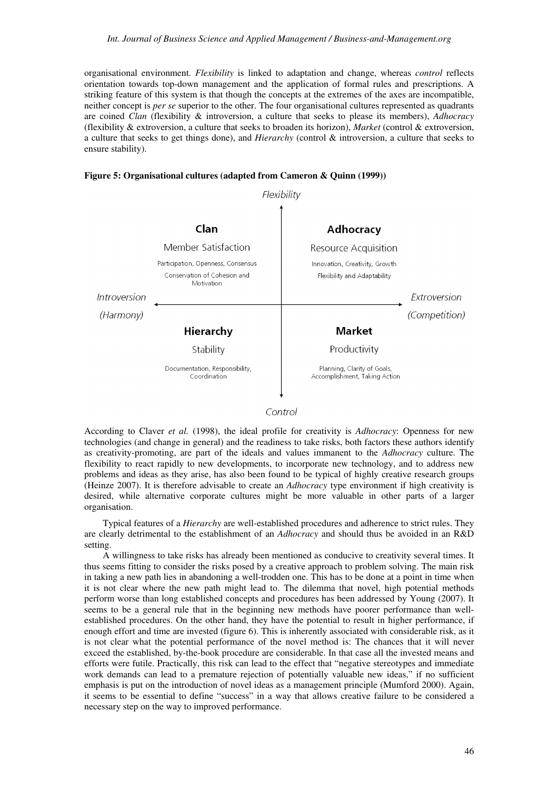organisational environment. *Flexibility* is linked to adaptation and change, whereas *control* reflects orientation towards top-down management and the application of formal rules and prescriptions. A striking feature of this system is that though the concepts at the extremes of the axes are incompatible, neither concept is *per se* superior to the other. The four organisational cultures represented as quadrants are coined *Clan* (flexibility & introversion, a culture that seeks to please its members), *Adhocracy* (flexibility & extroversion, a culture that seeks to broaden its horizon), *Market* (control & extroversion, a culture that seeks to get things done), and *Hierarchy* (control & introversion, a culture that seeks to ensure stability).





## Control

According to Claver *et al.* (1998), the ideal profile for creativity is *Adhocracy*: Openness for new technologies (and change in general) and the readiness to take risks, both factors these authors identify as creativity-promoting, are part of the ideals and values immanent to the *Adhocracy* culture. The flexibility to react rapidly to new developments, to incorporate new technology, and to address new problems and ideas as they arise, has also been found to be typical of highly creative research groups (Heinze 2007). It is therefore advisable to create an *Adhocracy* type environment if high creativity is desired, while alternative corporate cultures might be more valuable in other parts of a larger organisation.

Typical features of a *Hierarchy* are well-established procedures and adherence to strict rules. They are clearly detrimental to the establishment of an *Adhocracy* and should thus be avoided in an R&D setting.

A willingness to take risks has already been mentioned as conducive to creativity several times. It thus seems fitting to consider the risks posed by a creative approach to problem solving. The main risk in taking a new path lies in abandoning a well-trodden one. This has to be done at a point in time when it is not clear where the new path might lead to. The dilemma that novel, high potential methods perform worse than long established concepts and procedures has been addressed by Young (2007). It seems to be a general rule that in the beginning new methods have poorer performance than wellestablished procedures. On the other hand, they have the potential to result in higher performance, if enough effort and time are invested (figure 6). This is inherently associated with considerable risk, as it is not clear what the potential performance of the novel method is: The chances that it will never exceed the established, by-the-book procedure are considerable. In that case all the invested means and efforts were futile. Practically, this risk can lead to the effect that "negative stereotypes and immediate work demands can lead to a premature rejection of potentially valuable new ideas," if no sufficient emphasis is put on the introduction of novel ideas as a management principle (Mumford 2000). Again, it seems to be essential to define "success" in a way that allows creative failure to be considered a necessary step on the way to improved performance.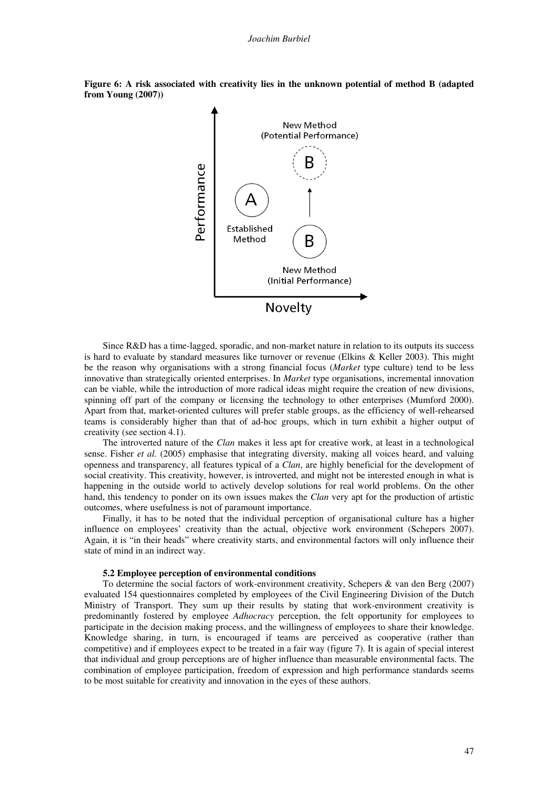

**Figure 6: A risk associated with creativity lies in the unknown potential of method B (adapted from Young (2007))** 

Since R&D has a time-lagged, sporadic, and non-market nature in relation to its outputs its success is hard to evaluate by standard measures like turnover or revenue (Elkins & Keller 2003). This might be the reason why organisations with a strong financial focus (*Market* type culture) tend to be less innovative than strategically oriented enterprises. In *Market* type organisations, incremental innovation can be viable, while the introduction of more radical ideas might require the creation of new divisions, spinning off part of the company or licensing the technology to other enterprises (Mumford 2000). Apart from that, market-oriented cultures will prefer stable groups, as the efficiency of well-rehearsed teams is considerably higher than that of ad-hoc groups, which in turn exhibit a higher output of creativity (see section 4.1).

The introverted nature of the *Clan* makes it less apt for creative work, at least in a technological sense. Fisher *et al.* (2005) emphasise that integrating diversity, making all voices heard, and valuing openness and transparency, all features typical of a *Clan*, are highly beneficial for the development of social creativity. This creativity, however, is introverted, and might not be interested enough in what is happening in the outside world to actively develop solutions for real world problems. On the other hand, this tendency to ponder on its own issues makes the *Clan* very apt for the production of artistic outcomes, where usefulness is not of paramount importance.

Finally, it has to be noted that the individual perception of organisational culture has a higher influence on employees' creativity than the actual, objective work environment (Schepers 2007). Again, it is "in their heads" where creativity starts, and environmental factors will only influence their state of mind in an indirect way.

## **5.2 Employee perception of environmental conditions**

To determine the social factors of work-environment creativity, Schepers & van den Berg (2007) evaluated 154 questionnaires completed by employees of the Civil Engineering Division of the Dutch Ministry of Transport. They sum up their results by stating that work-environment creativity is predominantly fostered by employee *Adhocracy* perception, the felt opportunity for employees to participate in the decision making process, and the willingness of employees to share their knowledge. Knowledge sharing, in turn, is encouraged if teams are perceived as cooperative (rather than competitive) and if employees expect to be treated in a fair way (figure 7). It is again of special interest that individual and group perceptions are of higher influence than measurable environmental facts. The combination of employee participation, freedom of expression and high performance standards seems to be most suitable for creativity and innovation in the eyes of these authors.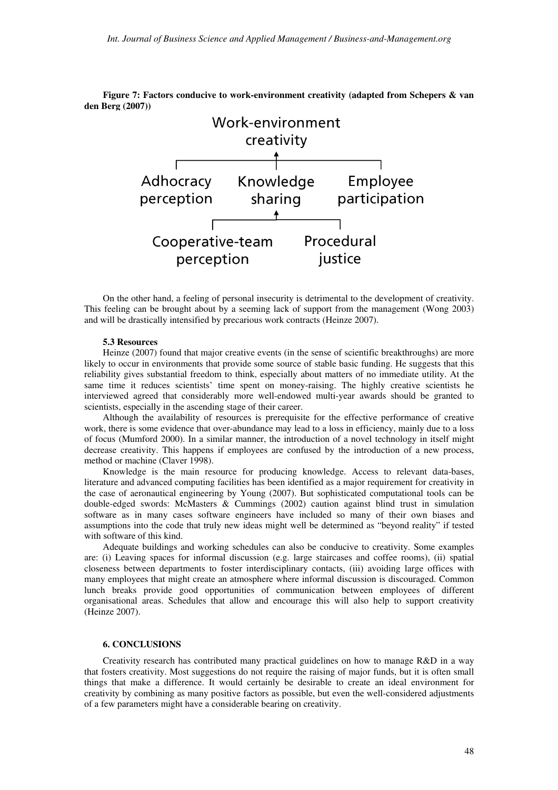Work-environment creativity Adhocracy Knowledge Employee<br>perception sharing participatio perception participation  $\uparrow$ Cooperative-team Procedural justice perception

**Figure 7: Factors conducive to work-environment creativity (adapted from Schepers & van den Berg (2007))** 

On the other hand, a feeling of personal insecurity is detrimental to the development of creativity. This feeling can be brought about by a seeming lack of support from the management (Wong 2003) and will be drastically intensified by precarious work contracts (Heinze 2007).

## **5.3 Resources**

Heinze (2007) found that major creative events (in the sense of scientific breakthroughs) are more likely to occur in environments that provide some source of stable basic funding. He suggests that this reliability gives substantial freedom to think, especially about matters of no immediate utility. At the same time it reduces scientists' time spent on money-raising. The highly creative scientists he interviewed agreed that considerably more well-endowed multi-year awards should be granted to scientists, especially in the ascending stage of their career.

Although the availability of resources is prerequisite for the effective performance of creative work, there is some evidence that over-abundance may lead to a loss in efficiency, mainly due to a loss of focus (Mumford 2000). In a similar manner, the introduction of a novel technology in itself might decrease creativity. This happens if employees are confused by the introduction of a new process, method or machine (Claver 1998).

Knowledge is the main resource for producing knowledge. Access to relevant data-bases, literature and advanced computing facilities has been identified as a major requirement for creativity in the case of aeronautical engineering by Young (2007). But sophisticated computational tools can be double-edged swords: McMasters & Cummings (2002) caution against blind trust in simulation software as in many cases software engineers have included so many of their own biases and assumptions into the code that truly new ideas might well be determined as "beyond reality" if tested with software of this kind.

Adequate buildings and working schedules can also be conducive to creativity. Some examples are: (i) Leaving spaces for informal discussion (e.g. large staircases and coffee rooms), (ii) spatial closeness between departments to foster interdisciplinary contacts, (iii) avoiding large offices with many employees that might create an atmosphere where informal discussion is discouraged. Common lunch breaks provide good opportunities of communication between employees of different organisational areas. Schedules that allow and encourage this will also help to support creativity (Heinze 2007).

# **6. CONCLUSIONS**

Creativity research has contributed many practical guidelines on how to manage R&D in a way that fosters creativity. Most suggestions do not require the raising of major funds, but it is often small things that make a difference. It would certainly be desirable to create an ideal environment for creativity by combining as many positive factors as possible, but even the well-considered adjustments of a few parameters might have a considerable bearing on creativity.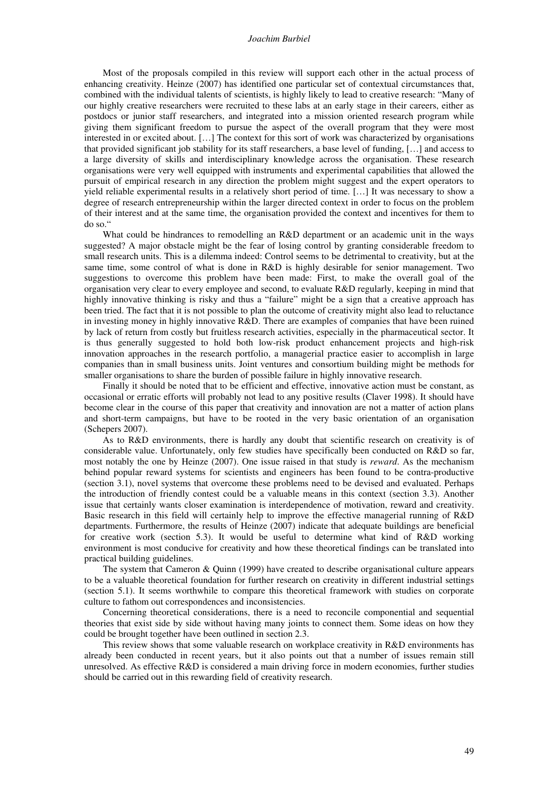#### *Joachim Burbiel*

Most of the proposals compiled in this review will support each other in the actual process of enhancing creativity. Heinze (2007) has identified one particular set of contextual circumstances that, combined with the individual talents of scientists, is highly likely to lead to creative research: "Many of our highly creative researchers were recruited to these labs at an early stage in their careers, either as postdocs or junior staff researchers, and integrated into a mission oriented research program while giving them significant freedom to pursue the aspect of the overall program that they were most interested in or excited about. […] The context for this sort of work was characterized by organisations that provided significant job stability for its staff researchers, a base level of funding, […] and access to a large diversity of skills and interdisciplinary knowledge across the organisation. These research organisations were very well equipped with instruments and experimental capabilities that allowed the pursuit of empirical research in any direction the problem might suggest and the expert operators to yield reliable experimental results in a relatively short period of time. […] It was necessary to show a degree of research entrepreneurship within the larger directed context in order to focus on the problem of their interest and at the same time, the organisation provided the context and incentives for them to do so."

What could be hindrances to remodelling an R&D department or an academic unit in the ways suggested? A major obstacle might be the fear of losing control by granting considerable freedom to small research units. This is a dilemma indeed: Control seems to be detrimental to creativity, but at the same time, some control of what is done in R&D is highly desirable for senior management. Two suggestions to overcome this problem have been made: First, to make the overall goal of the organisation very clear to every employee and second, to evaluate R&D regularly, keeping in mind that highly innovative thinking is risky and thus a "failure" might be a sign that a creative approach has been tried. The fact that it is not possible to plan the outcome of creativity might also lead to reluctance in investing money in highly innovative R&D. There are examples of companies that have been ruined by lack of return from costly but fruitless research activities, especially in the pharmaceutical sector. It is thus generally suggested to hold both low-risk product enhancement projects and high-risk innovation approaches in the research portfolio, a managerial practice easier to accomplish in large companies than in small business units. Joint ventures and consortium building might be methods for smaller organisations to share the burden of possible failure in highly innovative research.

Finally it should be noted that to be efficient and effective, innovative action must be constant, as occasional or erratic efforts will probably not lead to any positive results (Claver 1998). It should have become clear in the course of this paper that creativity and innovation are not a matter of action plans and short-term campaigns, but have to be rooted in the very basic orientation of an organisation (Schepers 2007).

As to R&D environments, there is hardly any doubt that scientific research on creativity is of considerable value. Unfortunately, only few studies have specifically been conducted on R&D so far, most notably the one by Heinze (2007). One issue raised in that study is *reward*. As the mechanism behind popular reward systems for scientists and engineers has been found to be contra-productive (section 3.1), novel systems that overcome these problems need to be devised and evaluated. Perhaps the introduction of friendly contest could be a valuable means in this context (section 3.3). Another issue that certainly wants closer examination is interdependence of motivation, reward and creativity. Basic research in this field will certainly help to improve the effective managerial running of R&D departments. Furthermore, the results of Heinze (2007) indicate that adequate buildings are beneficial for creative work (section 5.3). It would be useful to determine what kind of R&D working environment is most conducive for creativity and how these theoretical findings can be translated into practical building guidelines.

The system that Cameron & Quinn (1999) have created to describe organisational culture appears to be a valuable theoretical foundation for further research on creativity in different industrial settings (section 5.1). It seems worthwhile to compare this theoretical framework with studies on corporate culture to fathom out correspondences and inconsistencies.

Concerning theoretical considerations, there is a need to reconcile componential and sequential theories that exist side by side without having many joints to connect them. Some ideas on how they could be brought together have been outlined in section 2.3.

This review shows that some valuable research on workplace creativity in R&D environments has already been conducted in recent years, but it also points out that a number of issues remain still unresolved. As effective R&D is considered a main driving force in modern economies, further studies should be carried out in this rewarding field of creativity research.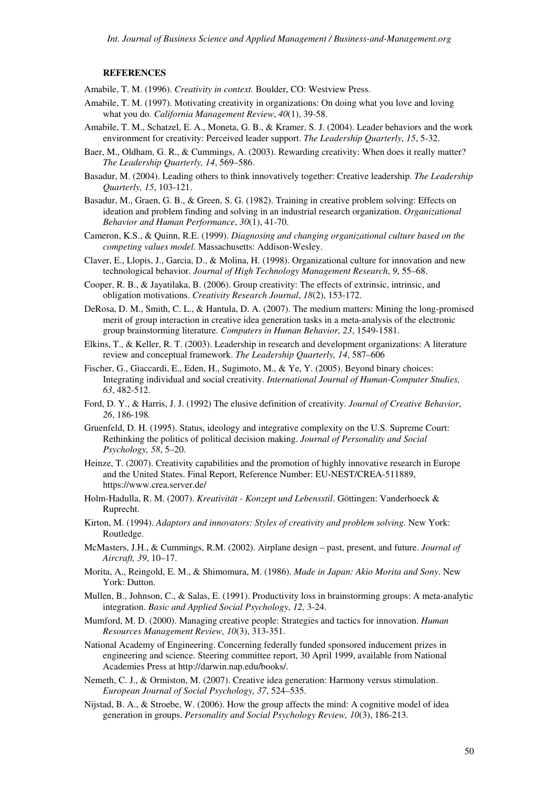## **REFERENCES**

Amabile, T. M. (1996). *Creativity in context.* Boulder, CO: Westview Press.

- Amabile, T. M. (1997). Motivating creativity in organizations: On doing what you love and loving what you do. *California Management Review*, *40*(1), 39-58.
- Amabile, T. M., Schatzel, E. A., Moneta, G. B., & Kramer, S. J. (2004). Leader behaviors and the work environment for creativity: Perceived leader support. *The Leadership Quarterly*, *15*, 5-32.
- Baer, M., Oldham, G. R., & Cummings, A. (2003). Rewarding creativity: When does it really matter? *The Leadership Quarterly, 14*, 569–586.
- Basadur, M. (2004). Leading others to think innovatively together: Creative leadership. *The Leadership Quarterly, 15*, 103-121.
- Basadur, M., Graen, G. B., & Green, S. G. (1982). Training in creative problem solving: Effects on ideation and problem finding and solving in an industrial research organization. *Organizational Behavior and Human Performance*, *30*(1), 41-70.
- Cameron, K.S., & Quinn, R.E. (1999). *Diagnosing and changing organizational culture based on the competing values model.* Massachusetts: Addison-Wesley.
- Claver, E., Llopis, J., Garcia, D., & Molina, H. (1998). Organizational culture for innovation and new technological behavior. *Journal of High Technology Management Research*, *9*, 55–68.
- Cooper, R. B., & Jayatilaka, B. (2006). Group creativity: The effects of extrinsic, intrinsic, and obligation motivations. *Creativity Research Journal*, *18*(2), 153-172.
- DeRosa, D. M., Smith, C. L., & Hantula, D. A. (2007). The medium matters: Mining the long-promised merit of group interaction in creative idea generation tasks in a meta-analysis of the electronic group brainstorming literature. *Computers in Human Behavior, 23*, 1549-1581.
- Elkins, T., & Keller, R. T. (2003). Leadership in research and development organizations: A literature review and conceptual framework. *The Leadership Quarterly, 14*, 587–606
- Fischer, G., Giaccardi, E., Eden, H., Sugimoto, M., & Ye, Y. (2005). Beyond binary choices: Integrating individual and social creativity. *International Journal of Human-Computer Studies, 63*, 482-512.
- Ford, D. Y., & Harris, J. J. (1992) The elusive definition of creativity. *Journal of Creative Behavior*, *26*, 186-198*.*
- Gruenfeld, D. H. (1995). Status, ideology and integrative complexity on the U.S. Supreme Court: Rethinking the politics of political decision making. *Journal of Personality and Social Psychology, 58*, 5–20.
- Heinze, T. (2007). Creativity capabilities and the promotion of highly innovative research in Europe and the United States. Final Report, Reference Number: EU-NEST/CREA-511889, https://www.crea.server.de/
- Holm-Hadulla, R. M. (2007). *Kreativität Konzept und Lebensstil*. Göttingen: Vanderhoeck & Ruprecht.
- Kirton, M. (1994). *Adaptors and innovators: Styles of creativity and problem solving.* New York: Routledge.
- McMasters, J.H., & Cummings, R.M. (2002). Airplane design past, present, and future. *Journal of Aircraft, 39*, 10–17.
- Morita, A., Reingold, E. M., & Shimomura, M. (1986). *Made in Japan: Akio Morita and Sony*. New York: Dutton.
- Mullen, B., Johnson, C., & Salas, E. (1991). Productivity loss in brainstorming groups: A meta-analytic integration. *Basic and Applied Social Psychology*, *12*, 3-24.
- Mumford, M. D. (2000). Managing creative people: Strategies and tactics for innovation. *Human Resources Management Review, 10*(3), 313-351.
- National Academy of Engineering. Concerning federally funded sponsored inducement prizes in engineering and science. Steering committee report, 30 April 1999, available from National Academies Press at http://darwin.nap.edu/books/.
- Nemeth, C. J., & Ormiston, M. (2007). Creative idea generation: Harmony versus stimulation. *European Journal of Social Psychology, 37*, 524–535.
- Nijstad, B. A., & Stroebe, W. (2006). How the group affects the mind: A cognitive model of idea generation in groups. *Personality and Social Psychology Review, 10*(3), 186-213.